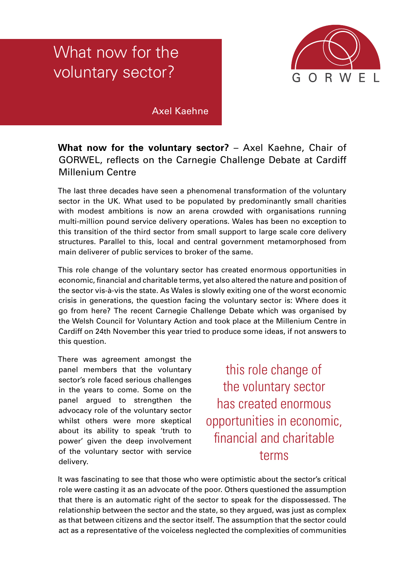## What now for the voluntary sector?



## Axel Kaehne

## **What now for the voluntary sector?** – Axel Kaehne, Chair of GORWEL, reflects on the Carnegie Challenge Debate at Cardiff Millenium Centre

The last three decades have seen a phenomenal transformation of the voluntary sector in the UK. What used to be populated by predominantly small charities with modest ambitions is now an arena crowded with organisations running multi-million pound service delivery operations. Wales has been no exception to this transition of the third sector from small support to large scale core delivery structures. Parallel to this, local and central government metamorphosed from main deliverer of public services to broker of the same.

This role change of the voluntary sector has created enormous opportunities in economic, financial and charitable terms, yet also altered the nature and position of the sector vis-à-vis the state. As Wales is slowly exiting one of the worst economic crisis in generations, the question facing the voluntary sector is: Where does it go from here? The recent Carnegie Challenge Debate which was organised by the Welsh Council for Voluntary Action and took place at the Millenium Centre in Cardiff on 24th November this year tried to produce some ideas, if not answers to this question.

There was agreement amongst the panel members that the voluntary sector's role faced serious challenges in the years to come. Some on the panel argued to strengthen the advocacy role of the voluntary sector whilst others were more skeptical about its ability to speak 'truth to power' given the deep involvement of the voluntary sector with service delivery.

this role change of the voluntary sector has created enormous opportunities in economic, financial and charitable terms

It was fascinating to see that those who were optimistic about the sector's critical role were casting it as an advocate of the poor. Others questioned the assumption that there is an automatic right of the sector to speak for the dispossessed. The relationship between the sector and the state, so they argued, was just as complex as that between citizens and the sector itself. The assumption that the sector could act as a representative of the voiceless neglected the complexities of communities